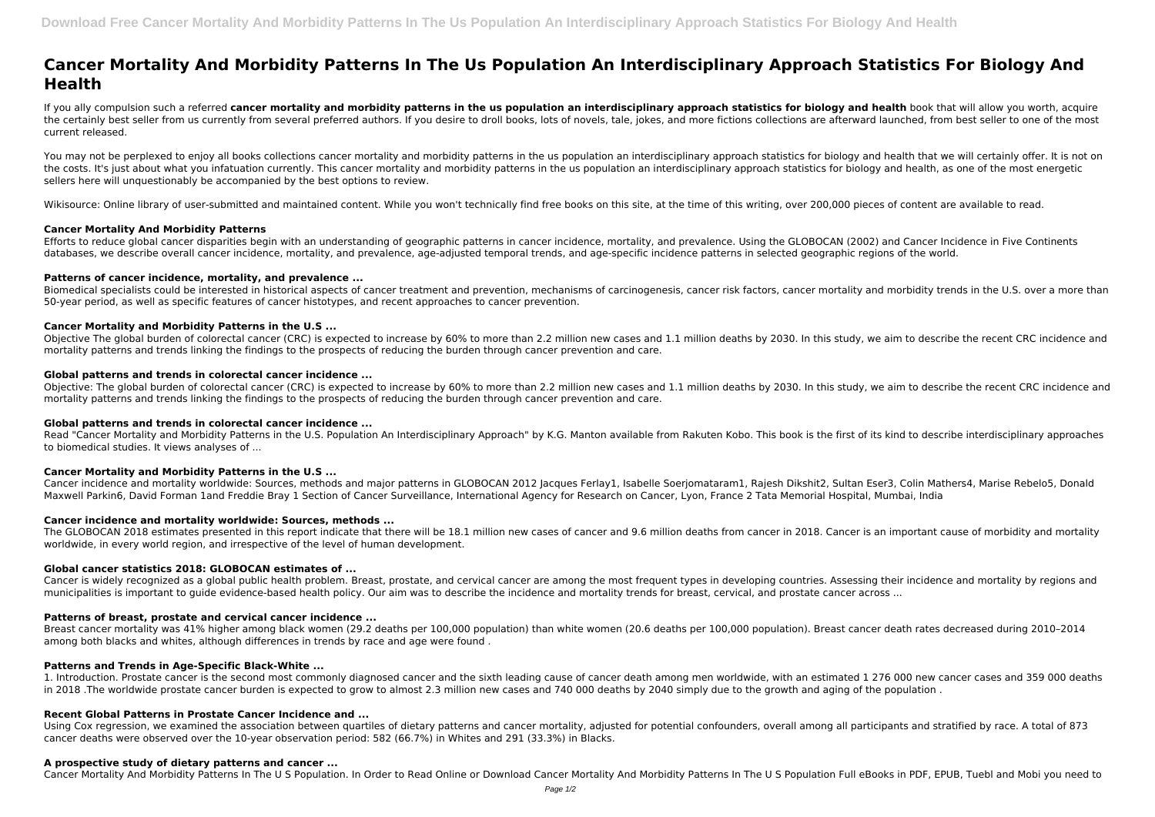# **Cancer Mortality And Morbidity Patterns In The Us Population An Interdisciplinary Approach Statistics For Biology And Health**

If you ally compulsion such a referred **cancer mortality and morbidity patterns in the us population an interdisciplinary approach statistics for biology and health book that will allow you worth, acquire** the certainly best seller from us currently from several preferred authors. If you desire to droll books, lots of novels, tale, jokes, and more fictions collections are afterward launched, from best seller to one of the mo current released.

You may not be perplexed to enjoy all books collections cancer mortality and morbidity patterns in the us population an interdisciplinary approach statistics for biology and health that we will certainly offer. It is not o the costs. It's just about what you infatuation currently. This cancer mortality and morbidity patterns in the us population an interdisciplinary approach statistics for biology and health, as one of the most energetic sellers here will unquestionably be accompanied by the best options to review.

Biomedical specialists could be interested in historical aspects of cancer treatment and prevention, mechanisms of carcinogenesis, cancer risk factors, cancer mortality and morbidity trends in the U.S. over a more than 50-year period, as well as specific features of cancer histotypes, and recent approaches to cancer prevention.

Wikisource: Online library of user-submitted and maintained content. While you won't technically find free books on this site, at the time of this writing, over 200,000 pieces of content are available to read.

# **Cancer Mortality And Morbidity Patterns**

Objective: The global burden of colorectal cancer (CRC) is expected to increase by 60% to more than 2.2 million new cases and 1.1 million deaths by 2030. In this study, we aim to describe the recent CRC incidence and mortality patterns and trends linking the findings to the prospects of reducing the burden through cancer prevention and care.

Efforts to reduce global cancer disparities begin with an understanding of geographic patterns in cancer incidence, mortality, and prevalence. Using the GLOBOCAN (2002) and Cancer Incidence in Five Continents databases, we describe overall cancer incidence, mortality, and prevalence, age-adjusted temporal trends, and age-specific incidence patterns in selected geographic regions of the world.

Read "Cancer Mortality and Morbidity Patterns in the U.S. Population An Interdisciplinary Approach" by K.G. Manton available from Rakuten Kobo. This book is the first of its kind to describe interdisciplinary approaches to biomedical studies. It views analyses of ...

# **Patterns of cancer incidence, mortality, and prevalence ...**

# **Cancer Mortality and Morbidity Patterns in the U.S ...**

Cancer is widely recognized as a global public health problem. Breast, prostate, and cervical cancer are among the most frequent types in developing countries. Assessing their incidence and mortality by regions and municipalities is important to guide evidence-based health policy. Our aim was to describe the incidence and mortality trends for breast, cervical, and prostate cancer across ...

Objective The global burden of colorectal cancer (CRC) is expected to increase by 60% to more than 2.2 million new cases and 1.1 million deaths by 2030. In this study, we aim to describe the recent CRC incidence and mortality patterns and trends linking the findings to the prospects of reducing the burden through cancer prevention and care.

1. Introduction. Prostate cancer is the second most commonly diagnosed cancer and the sixth leading cause of cancer death among men worldwide, with an estimated 1 276 000 new cancer cases and 359 000 deaths in 2018 .The worldwide prostate cancer burden is expected to grow to almost 2.3 million new cases and 740 000 deaths by 2040 simply due to the growth and aging of the population .

## **Global patterns and trends in colorectal cancer incidence ...**

## **Global patterns and trends in colorectal cancer incidence ...**

# **Cancer Mortality and Morbidity Patterns in the U.S ...**

Cancer incidence and mortality worldwide: Sources, methods and major patterns in GLOBOCAN 2012 Jacques Ferlay1, Isabelle Soerjomataram1, Rajesh Dikshit2, Sultan Eser3, Colin Mathers4, Marise Rebelo5, Donald Maxwell Parkin6, David Forman 1and Freddie Bray 1 Section of Cancer Surveillance, International Agency for Research on Cancer, Lyon, France 2 Tata Memorial Hospital, Mumbai, India

## **Cancer incidence and mortality worldwide: Sources, methods ...**

The GLOBOCAN 2018 estimates presented in this report indicate that there will be 18.1 million new cases of cancer and 9.6 million deaths from cancer in 2018. Cancer is an important cause of morbidity and mortality worldwide, in every world region, and irrespective of the level of human development.

## **Global cancer statistics 2018: GLOBOCAN estimates of ...**

## **Patterns of breast, prostate and cervical cancer incidence ...**

Breast cancer mortality was 41% higher among black women (29.2 deaths per 100,000 population) than white women (20.6 deaths per 100,000 population). Breast cancer death rates decreased during 2010–2014 among both blacks and whites, although differences in trends by race and age were found .

## **Patterns and Trends in Age-Specific Black-White ...**

## **Recent Global Patterns in Prostate Cancer Incidence and ...**

Using Cox regression, we examined the association between quartiles of dietary patterns and cancer mortality, adjusted for potential confounders, overall among all participants and stratified by race. A total of 873 cancer deaths were observed over the 10‐year observation period: 582 (66.7%) in Whites and 291 (33.3%) in Blacks.

# **A prospective study of dietary patterns and cancer ...**

Cancer Mortality And Morbidity Patterns In The U S Population. In Order to Read Online or Download Cancer Mortality And Morbidity Patterns In The U S Population Full eBooks in PDF, EPUB, Tuebl and Mobi you need to